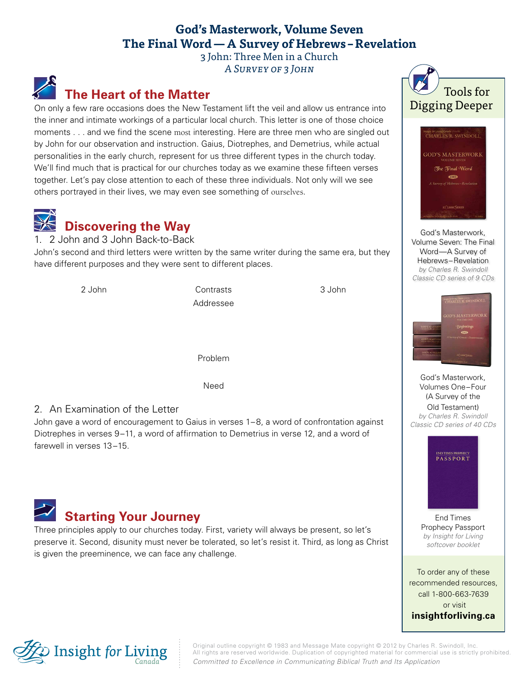### **God's Masterwork, Volume Seven The Final Word—A Survey of Hebrews –Revelation**

3 John: Three Men in a Church A Survey of 3 John

## **The Heart of the Matter**

On only a few rare occasions does the New Testament lift the veil and allow us entrance into the inner and intimate workings of a particular local church. This letter is one of those choice moments . . . and we find the scene most interesting. Here are three men who are singled out by John for our observation and instruction. Gaius, Diotrephes, and Demetrius, while actual personalities in the early church, represent for us three different types in the church today. We'll find much that is practical for our churches today as we examine these fifteen verses together. Let's pay close attention to each of these three individuals. Not only will we see others portrayed in their lives, we may even see something of ourselves.



1. 2 John and 3 John Back-to-Back

John's second and third letters were written by the same writer during the same era, but they have different purposes and they were sent to different places.



#### 2. An Examination of the Letter

John gave a word of encouragement to Gaius in verses 1–8, a word of confrontation against Diotrephes in verses 9–11, a word of affirmation to Demetrius in verse 12, and a word of farewell in verses 13–15.



Three principles apply to our churches today. First, variety will always be present, so let's preserve it. Second, disunity must never be tolerated, so let's resist it. Third, as long as Christ is given the preeminence, we can face any challenge.





God's Masterwork, [Volume Seven: The Final](http://store.insightforliving.ca/product-info.php?gm7dng_gods_masterwork_volume_seven-pid2178.html)  Word—A Survey of Hebrews–Revelation *by Charles R. Swindoll Classic CD series of 9 CDs*



God's Masterwork, Volumes One–Four (A Survey of the Old Testament) *by Charles R. Swindoll [Classic CD series of 40 CDs](http://store.insightforliving.ca/product-info.php?gmw4dst_gods_masterwork-pid2110.html)*



End Times [Prophecy Passport](http://store.insightforliving.ca/product-info.php?etppp_end_times_prophecy_passport-pid1905.html)  *by Insight for Living softcover booklet*

To order any of these recommended resources, call 1-800-663-7639 or visit **[insightforliving.ca](http://www.insightforliving.ca/)**



Original outline copyright © 1983 and Message Mate copyright © 2012 by Charles R. Swindoll, Inc. All rights are reserved worldwide. Duplication of copyrighted material for commercial use is strictly prohibited. *Committed to Excellence in Communicating Biblical Truth and Its Application*